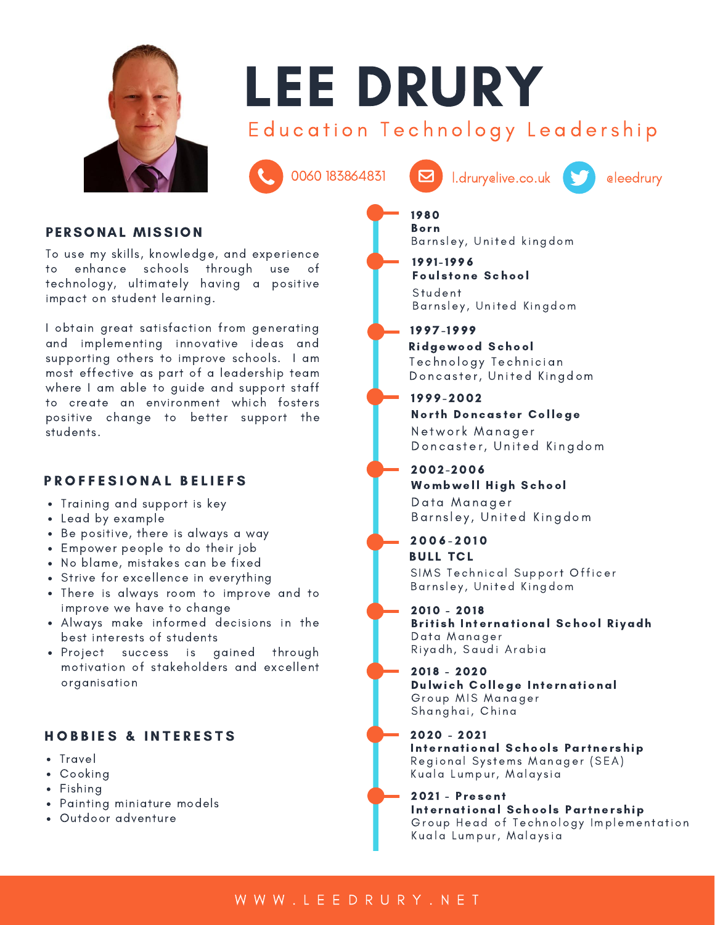

# LEE DRURY Education Technology Leadership

0060 183864831 **200** l.druryelive.co.uk **800** eleedrury





## PERSONAL MISSION

To use my skills, knowledge, and experience to enhance schools through use of technology, ultimately having a positive impact on student learning.

I obtain great satisfaction from generating and implementing innovative ideas and supporting others to improve schools. I am most effective as part of a leadership team where I am able to guide and support staff to create an environment which fosters positive change to better support the students.

## PROFFESIONAL BELIEFS

- Training and support is key
- Lead by example
- Be positive, there is always a way
- Empower people to do their job
- No blame, mistakes can be fixed
- Strive for excellence in everything
- There is always room to improve and to improve we have to change
- Always make informed decisions in the best interests of students
- Project success is gained through motivation of stakeholders and excellent organisation

# **HOBBIES & INTERESTS**

- Travel
- Cooking
- Fishing
- Painting miniature models
- Outdoor adventure

#### 1980 **Born** Barnsley, United kingdom

Student Barnsley, United Kingdom 1991-1996 Foulstone School

# 1997 -1999

Technology Technician Doncaster, United Kingdom Ridgewood School

# 1999- 2002

Network Manager Doncaster, United Kingdom North Doncaster College

## 2002 - 2006

Data Manage r Barnsley, United Kingdom Wombwell High School

#### 2 0 0 6 - 2 0 1 0 **BULL TCL**

SIMS Technical Support Officer Barnsley, United Kingdom

 $2010 - 2018$ British International School Riyadh Data Manage r Riyadh, Saudi Arabia

#### $2018 - 2020$ Dulwich College International Group MIS Manager Shanghai, China

2020 - 202 1 International Schools Partnership Regional Systems Manager (SEA) Kuala Lumpur, Malaysia

2021 - Present International Schools Partnership Group Head of Technology Implementation Kuala Lumpur, Malaysia

# W W W . L E E D R U R Y . N E T